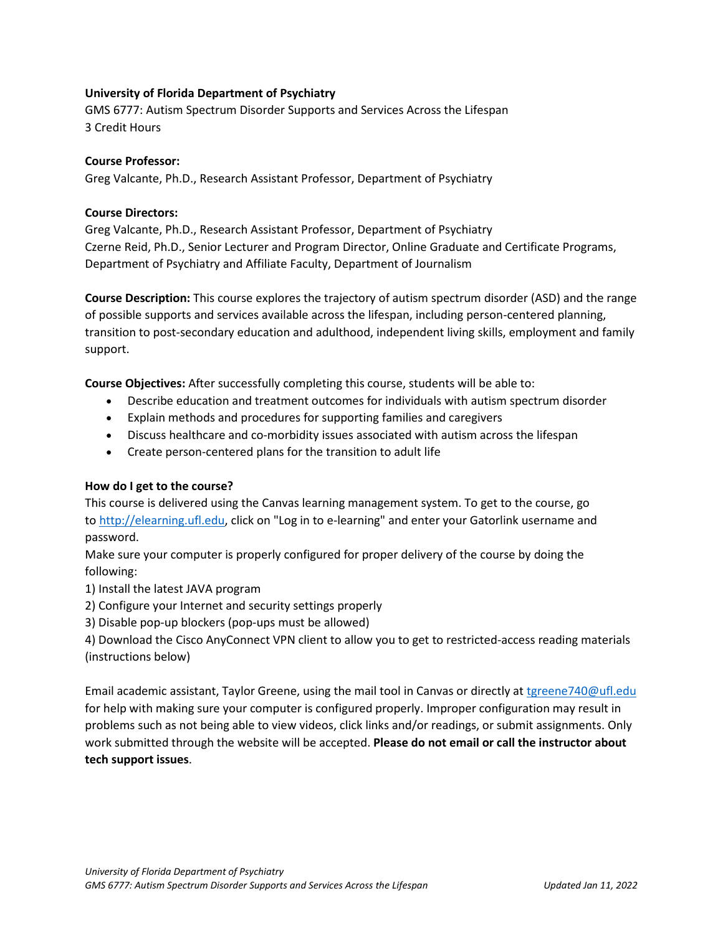# **University of Florida Department of Psychiatry**

GMS 6777: Autism Spectrum Disorder Supports and Services Across the Lifespan 3 Credit Hours

# **Course Professor:**

Greg Valcante, Ph.D., Research Assistant Professor, Department of Psychiatry

# **Course Directors:**

Greg Valcante, Ph.D., Research Assistant Professor, Department of Psychiatry Czerne Reid, Ph.D., Senior Lecturer and Program Director, Online Graduate and Certificate Programs, Department of Psychiatry and Affiliate Faculty, Department of Journalism

**Course Description:** This course explores the trajectory of autism spectrum disorder (ASD) and the range of possible supports and services available across the lifespan, including person-centered planning, transition to post-secondary education and adulthood, independent living skills, employment and family support.

**Course Objectives:** After successfully completing this course, students will be able to:

- Describe education and treatment outcomes for individuals with autism spectrum disorder
- Explain methods and procedures for supporting families and caregivers
- Discuss healthcare and co-morbidity issues associated with autism across the lifespan
- Create person-centered plans for the transition to adult life

### **How do I get to the course?**

This course is delivered using the Canvas learning management system. To get to the course, go to [http://elearning.ufl.edu,](http://elearning.ufl.edu/) click on "Log in to e-learning" and enter your Gatorlink username and password.

Make sure your computer is properly configured for proper delivery of the course by doing the following:

1) Install the latest JAVA program

- 2) Configure your Internet and security settings properly
- 3) Disable pop-up blockers (pop-ups must be allowed)

4) Download the Cisco AnyConnect VPN client to allow you to get to restricted-access reading materials (instructions below)

Email academic assistant, Taylor Greene, using the mail tool in Canvas or directly at [tgreene740@ufl.edu](mailto:tgreene740@ufl.edu) for help with making sure your computer is configured properly. Improper configuration may result in problems such as not being able to view videos, click links and/or readings, or submit assignments. Only work submitted through the website will be accepted. **Please do not email or call the instructor about tech support issues**.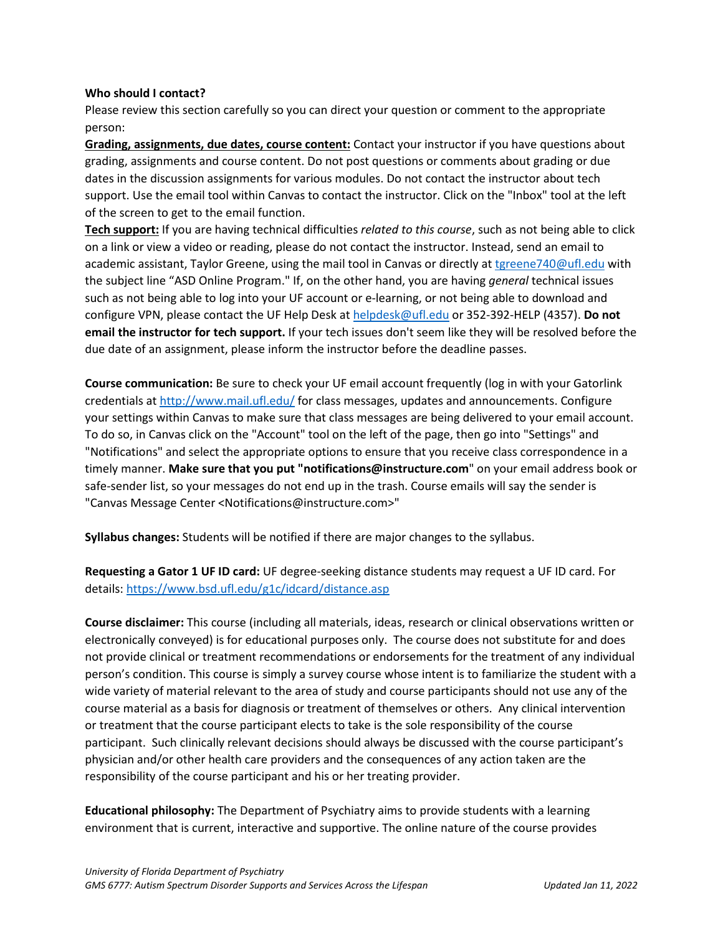### **Who should I contact?**

Please review this section carefully so you can direct your question or comment to the appropriate person:

**Grading, assignments, due dates, course content:** Contact your instructor if you have questions about grading, assignments and course content. Do not post questions or comments about grading or due dates in the discussion assignments for various modules. Do not contact the instructor about tech support. Use the email tool within Canvas to contact the instructor. Click on the "Inbox" tool at the left of the screen to get to the email function.

**Tech support:** If you are having technical difficulties *related to this course*, such as not being able to click on a link or view a video or reading, please do not contact the instructor. Instead, send an email to academic assistant, Taylor Greene, using the mail tool in Canvas or directly at [tgreene740@ufl.edu](mailto:tgreene740@ufl.edu) with the subject line "ASD Online Program." If, on the other hand, you are having *general* technical issues such as not being able to log into your UF account or e-learning, or not being able to download and configure VPN, please contact the UF Help Desk at [helpdesk@ufl.edu](mailto:helpdesk@ufl.edu) or 352-392-HELP (4357). **Do not email the instructor for tech support.** If your tech issues don't seem like they will be resolved before the due date of an assignment, please inform the instructor before the deadline passes.

**Course communication:** Be sure to check your UF email account frequently (log in with your Gatorlink credentials at [http://www.mail.ufl.edu/](http://www.mail.ufl.edu/)) for class messages, updates and announcements. Configure your settings within Canvas to make sure that class messages are being delivered to your email account. To do so, in Canvas click on the "Account" tool on the left of the page, then go into "Settings" and "Notifications" and select the appropriate options to ensure that you receive class correspondence in a timely manner. **Make sure that you put "notifications@instructure.com**" on your email address book or safe-sender list, so your messages do not end up in the trash. Course emails will say the sender is "Canvas Message Center <Notifications@instructure.com>"

**Syllabus changes:** Students will be notified if there are major changes to the syllabus.

**Requesting a Gator 1 UF ID card:** UF degree-seeking distance students may request a UF ID card. For details:<https://www.bsd.ufl.edu/g1c/idcard/distance.asp>

**Course disclaimer:** This course (including all materials, ideas, research or clinical observations written or electronically conveyed) is for educational purposes only. The course does not substitute for and does not provide clinical or treatment recommendations or endorsements for the treatment of any individual person's condition. This course is simply a survey course whose intent is to familiarize the student with a wide variety of material relevant to the area of study and course participants should not use any of the course material as a basis for diagnosis or treatment of themselves or others. Any clinical intervention or treatment that the course participant elects to take is the sole responsibility of the course participant. Such clinically relevant decisions should always be discussed with the course participant's physician and/or other health care providers and the consequences of any action taken are the responsibility of the course participant and his or her treating provider.

**Educational philosophy:** The Department of Psychiatry aims to provide students with a learning environment that is current, interactive and supportive. The online nature of the course provides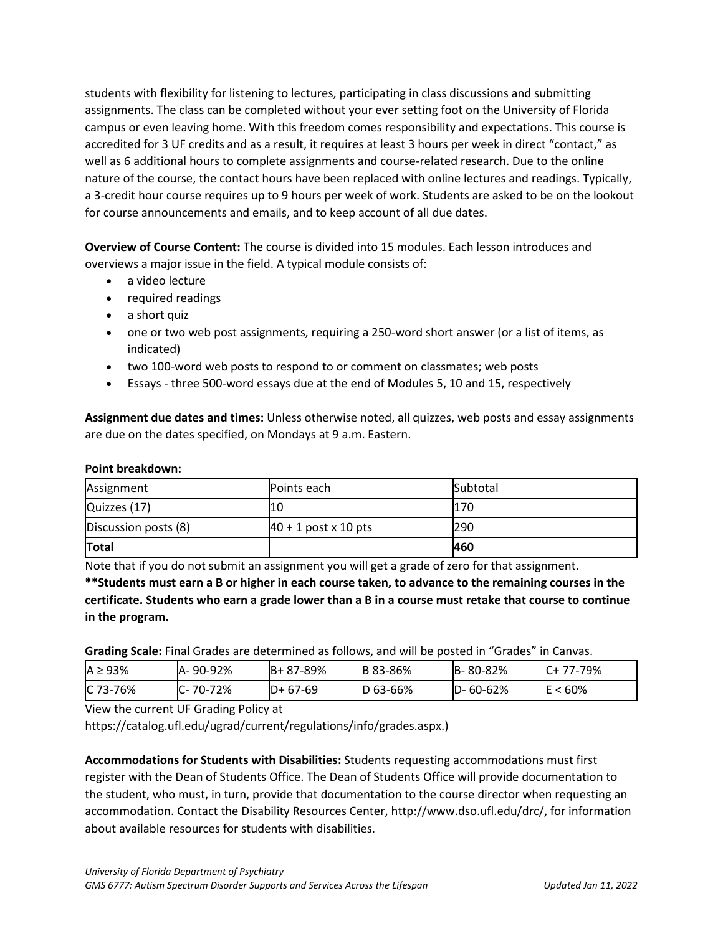students with flexibility for listening to lectures, participating in class discussions and submitting assignments. The class can be completed without your ever setting foot on the University of Florida campus or even leaving home. With this freedom comes responsibility and expectations. This course is accredited for 3 UF credits and as a result, it requires at least 3 hours per week in direct "contact," as well as 6 additional hours to complete assignments and course-related research. Due to the online nature of the course, the contact hours have been replaced with online lectures and readings. Typically, a 3-credit hour course requires up to 9 hours per week of work. Students are asked to be on the lookout for course announcements and emails, and to keep account of all due dates.

**Overview of Course Content:** The course is divided into 15 modules. Each lesson introduces and overviews a major issue in the field. A typical module consists of:

- a video lecture
- required readings
- a short quiz
- one or two web post assignments, requiring a 250-word short answer (or a list of items, as indicated)
- two 100-word web posts to respond to or comment on classmates; web posts
- Essays three 500-word essays due at the end of Modules 5, 10 and 15, respectively

**Assignment due dates and times:** Unless otherwise noted, all quizzes, web posts and essay assignments are due on the dates specified, on Mondays at 9 a.m. Eastern.

#### **Point breakdown:**

| Assignment           | <b>Points each</b>     | Subtotal |
|----------------------|------------------------|----------|
| Quizzes (17)         |                        | 170      |
| Discussion posts (8) | $40 + 1$ post x 10 pts | 290      |
| Total                |                        | 460      |

Note that if you do not submit an assignment you will get a grade of zero for that assignment.

**\*\*Students must earn a B or higher in each course taken, to advance to the remaining courses in the certificate. Students who earn a grade lower than a B in a course must retake that course to continue in the program.**

**Grading Scale:** Final Grades are determined as follows, and will be posted in "Grades" in Canvas.

| $A \geq 93\%$ | IA-90-92%      | $IB + 87 - 89%$ | <b>B</b> 83-86% | B-80-82%       | IC+ 77-79% |
|---------------|----------------|-----------------|-----------------|----------------|------------|
| IC 73-76%     | $C - 70 - 72%$ | $D+67-69$       | $ D 63 - 66%$   | $D - 60 - 62%$ | $E < 60\%$ |

View the current UF Grading Policy at

https://catalog.ufl.edu/ugrad/current/regulations/info/grades.aspx.)

**Accommodations for Students with Disabilities:** Students requesting accommodations must first register with the Dean of Students Office. The Dean of Students Office will provide documentation to the student, who must, in turn, provide that documentation to the course director when requesting an accommodation. Contact the Disability Resources Center, http://www.dso.ufl.edu/drc/, for information about available resources for students with disabilities.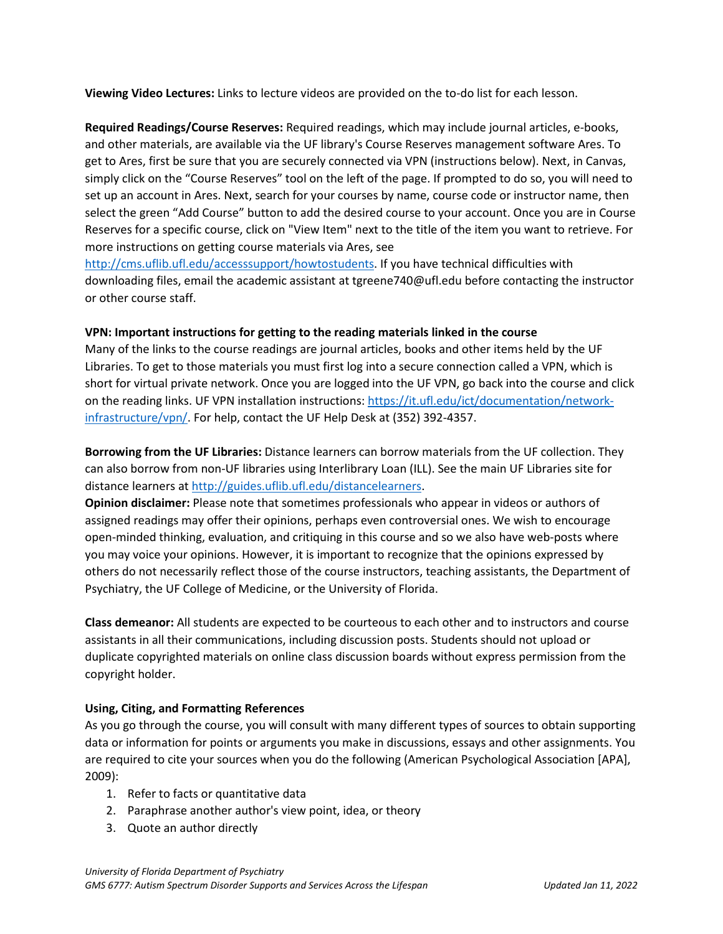**Viewing Video Lectures:** Links to lecture videos are provided on the to-do list for each lesson.

**Required Readings/Course Reserves:** Required readings, which may include journal articles, e-books, and other materials, are available via the UF library's Course Reserves management software Ares. To get to Ares, first be sure that you are securely connected via VPN (instructions below). Next, in Canvas, simply click on the "Course Reserves" tool on the left of the page. If prompted to do so, you will need to set up an account in Ares. Next, search for your courses by name, course code or instructor name, then select the green "Add Course" button to add the desired course to your account. Once you are in Course Reserves for a specific course, click on "View Item" next to the title of the item you want to retrieve. For more instructions on getting course materials via Ares, see

[http://cms.uflib.ufl.edu/accesssupport/howtostudents.](http://cms.uflib.ufl.edu/accesssupport/howtostudents) If you have technical difficulties with downloading files, email the academic assistant at tgreene740@ufl.edu before contacting the instructor or other course staff.

### **VPN: Important instructions for getting to the reading materials linked in the course**

Many of the links to the course readings are journal articles, books and other items held by the UF Libraries. To get to those materials you must first log into a secure connection called a VPN, which is short for virtual private network. Once you are logged into the UF VPN, go back into the course and click on the reading links. UF VPN installation instructions[: https://it.ufl.edu/ict/documentation/network](https://it.ufl.edu/ict/documentation/network-infrastructure/vpn/)[infrastructure/vpn/.](https://it.ufl.edu/ict/documentation/network-infrastructure/vpn/) For help, contact the UF Help Desk at (352) 392-4357.

**Borrowing from the UF Libraries:** Distance learners can borrow materials from the UF collection. They can also borrow from non-UF libraries using Interlibrary Loan (ILL). See the main UF Libraries site for distance learners at [http://guides.uflib.ufl.edu/distancelearners.](http://guides.uflib.ufl.edu/distancelearners)

**Opinion disclaimer:** Please note that sometimes professionals who appear in videos or authors of assigned readings may offer their opinions, perhaps even controversial ones. We wish to encourage open-minded thinking, evaluation, and critiquing in this course and so we also have web-posts where you may voice your opinions. However, it is important to recognize that the opinions expressed by others do not necessarily reflect those of the course instructors, teaching assistants, the Department of Psychiatry, the UF College of Medicine, or the University of Florida.

**Class demeanor:** All students are expected to be courteous to each other and to instructors and course assistants in all their communications, including discussion posts. Students should not upload or duplicate copyrighted materials on online class discussion boards without express permission from the copyright holder.

### **Using, Citing, and Formatting References**

As you go through the course, you will consult with many different types of sources to obtain supporting data or information for points or arguments you make in discussions, essays and other assignments. You are required to cite your sources when you do the following (American Psychological Association [APA], 2009):

- 1. Refer to facts or quantitative data
- 2. Paraphrase another author's view point, idea, or theory
- 3. Quote an author directly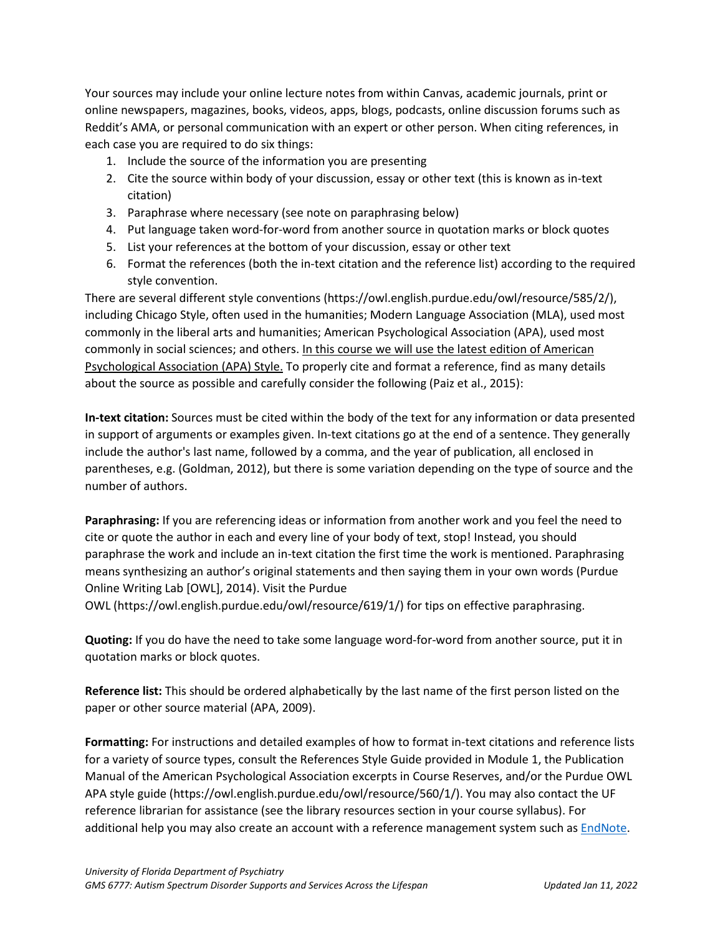Your sources may include your online lecture notes from within Canvas, academic journals, print or online newspapers, magazines, books, videos, apps, blogs, podcasts, online discussion forums such as Reddit's AMA, or personal communication with an expert or other person. When citing references, in each case you are required to do six things:

- 1. Include the source of the information you are presenting
- 2. Cite the source within body of your discussion, essay or other text (this is known as in-text citation)
- 3. Paraphrase where necessary (see note on paraphrasing below)
- 4. Put language taken word-for-word from another source in quotation marks or block quotes
- 5. List your references at the bottom of your discussion, essay or other text
- 6. Format the references (both the in-text citation and the reference list) according to the required style convention.

There are several different style conventions (https://owl.english.purdue.edu/owl/resource/585/2/), including Chicago Style, often used in the humanities; Modern Language Association (MLA), used most commonly in the liberal arts and humanities; American Psychological Association (APA), used most commonly in social sciences; and others. In this course we will use the latest edition of American Psychological Association (APA) Style. To properly cite and format a reference, find as many details about the source as possible and carefully consider the following (Paiz et al., 2015):

**In-text citation:** Sources must be cited within the body of the text for any information or data presented in support of arguments or examples given. In-text citations go at the end of a sentence. They generally include the author's last name, followed by a comma, and the year of publication, all enclosed in parentheses, e.g. (Goldman, 2012), but there is some variation depending on the type of source and the number of authors.

**Paraphrasing:** If you are referencing ideas or information from another work and you feel the need to cite or quote the author in each and every line of your body of text, stop! Instead, you should paraphrase the work and include an in-text citation the first time the work is mentioned. Paraphrasing means synthesizing an author's original statements and then saying them in your own words (Purdue Online Writing Lab [OWL], 2014). Visit the Purdue

OWL (https://owl.english.purdue.edu/owl/resource/619/1/) for tips on effective paraphrasing.

**Quoting:** If you do have the need to take some language word-for-word from another source, put it in quotation marks or block quotes.

**Reference list:** This should be ordered alphabetically by the last name of the first person listed on the paper or other source material (APA, 2009).

**Formatting:** For instructions and detailed examples of how to format in-text citations and reference lists for a variety of source types, consult the References Style Guide provided in Module 1, the Publication Manual of the American Psychological Association excerpts in Course Reserves, and/or the Purdue OWL APA style guide (https://owl.english.purdue.edu/owl/resource/560/1/). You may also contact the UF reference librarian for assistance (see the library resources section in your course syllabus). For additional help you may also create an account with a reference management system such as [EndNote.](https://guides.uflib.ufl.edu/endnote)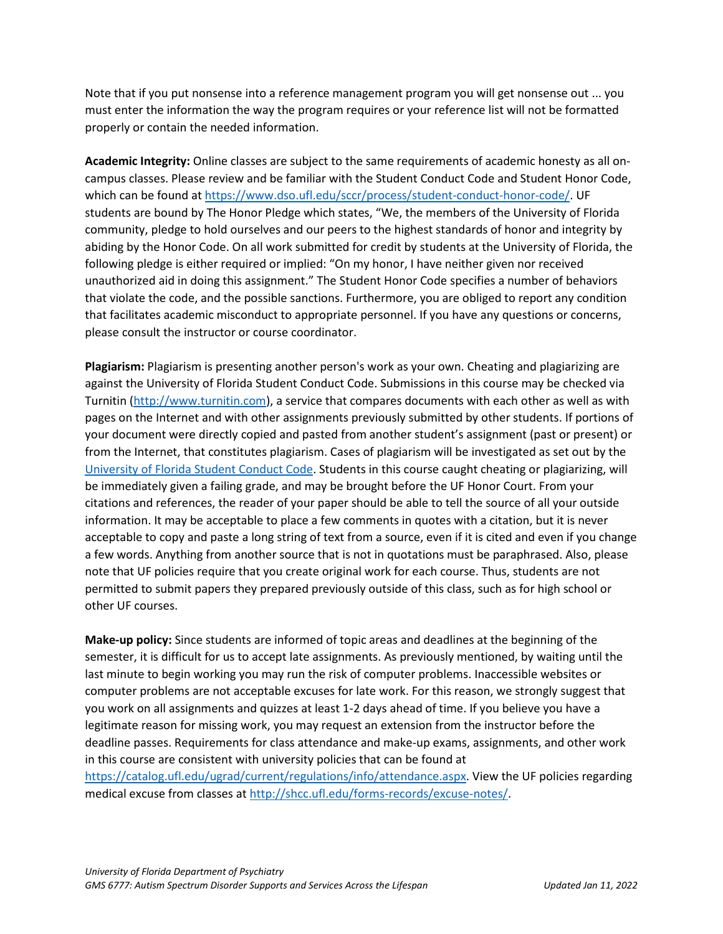Note that if you put nonsense into a reference management program you will get nonsense out ... you must enter the information the way the program requires or your reference list will not be formatted properly or contain the needed information.

**Academic Integrity:** Online classes are subject to the same requirements of academic honesty as all oncampus classes. Please review and be familiar with the Student Conduct Code and Student Honor Code, which can be found a[t https://www.dso.ufl.edu/sccr/process/student-conduct-honor-code/.](https://www.dso.ufl.edu/sccr/process/student-conduct-honor-code/) UF students are bound by The Honor Pledge which states, "We, the members of the University of Florida community, pledge to hold ourselves and our peers to the highest standards of honor and integrity by abiding by the Honor Code. On all work submitted for credit by students at the University of Florida, the following pledge is either required or implied: "On my honor, I have neither given nor received unauthorized aid in doing this assignment." The Student Honor Code specifies a number of behaviors that violate the code, and the possible sanctions. Furthermore, you are obliged to report any condition that facilitates academic misconduct to appropriate personnel. If you have any questions or concerns, please consult the instructor or course coordinator.

**Plagiarism:** Plagiarism is presenting another person's work as your own. Cheating and plagiarizing are against the University of Florida Student Conduct Code. Submissions in this course may be checked via Turnitin [\(http://www.turnitin.com\)](http://www.turnitin.com/), a service that compares documents with each other as well as with pages on the Internet and with other assignments previously submitted by other students. If portions of your document were directly copied and pasted from another student's assignment (past or present) or from the Internet, that constitutes plagiarism. Cases of plagiarism will be investigated as set out by the [University of Florida Student Conduct Code.](https://sccr.dso.ufl.edu/) Students in this course caught cheating or plagiarizing, will be immediately given a failing grade, and may be brought before the UF Honor Court. From your citations and references, the reader of your paper should be able to tell the source of all your outside information. It may be acceptable to place a few comments in quotes with a citation, but it is never acceptable to copy and paste a long string of text from a source, even if it is cited and even if you change a few words. Anything from another source that is not in quotations must be paraphrased. Also, please note that UF policies require that you create original work for each course. Thus, students are not permitted to submit papers they prepared previously outside of this class, such as for high school or other UF courses.

**Make-up policy:** Since students are informed of topic areas and deadlines at the beginning of the semester, it is difficult for us to accept late assignments. As previously mentioned, by waiting until the last minute to begin working you may run the risk of computer problems. Inaccessible websites or computer problems are not acceptable excuses for late work. For this reason, we strongly suggest that you work on all assignments and quizzes at least 1-2 days ahead of time. If you believe you have a legitimate reason for missing work, you may request an extension from the instructor before the deadline passes. Requirements for class attendance and make-up exams, assignments, and other work in this course are consistent with university policies that can be found at

[https://catalog.ufl.edu/ugrad/current/regulations/info/attendance.aspx.](https://catalog.ufl.edu/ugrad/current/regulations/info/attendance.aspx) View the UF policies regarding medical excuse from classes at [http://shcc.ufl.edu/forms-records/excuse-notes/.](http://shcc.ufl.edu/forms-records/excuse-notes/)